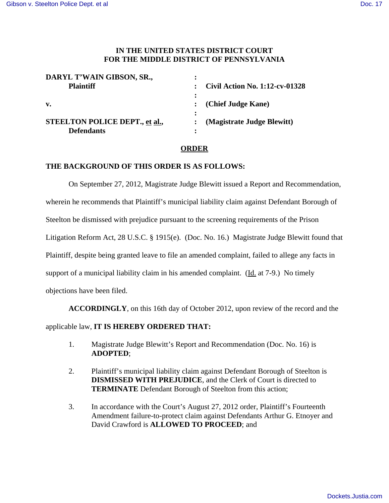## **IN THE UNITED STATES DISTRICT COURT FOR THE MIDDLE DISTRICT OF PENNSYLVANIA**

| DARYL T'WAIN GIBSON, SR.,      |                                       |
|--------------------------------|---------------------------------------|
| <b>Plaintiff</b>               | <b>Civil Action No. 1:12-cv-01328</b> |
|                                |                                       |
| $\mathbf{v}$ .                 | : (Chief Judge Kane)                  |
|                                |                                       |
| STEELTON POLICE DEPT., et al., | (Magistrate Judge Blewitt)            |
| <b>Defendants</b>              |                                       |

## **ORDER**

## **THE BACKGROUND OF THIS ORDER IS AS FOLLOWS:**

On September 27, 2012, Magistrate Judge Blewitt issued a Report and Recommendation,

wherein he recommends that Plaintiff's municipal liability claim against Defendant Borough of

Steelton be dismissed with prejudice pursuant to the screening requirements of the Prison

Litigation Reform Act, 28 U.S.C. § 1915(e). (Doc. No. 16.) Magistrate Judge Blewitt found that

Plaintiff, despite being granted leave to file an amended complaint, failed to allege any facts in

support of a municipal liability claim in his amended complaint. (Id. at 7-9.) No timely

objections have been filed.

**ACCORDINGLY**, on this 16th day of October 2012, upon review of the record and the

## applicable law, **IT IS HEREBY ORDERED THAT:**

- 1. Magistrate Judge Blewitt's Report and Recommendation (Doc. No. 16) is **ADOPTED**;
- 2. Plaintiff's municipal liability claim against Defendant Borough of Steelton is **DISMISSED WITH PREJUDICE**, and the Clerk of Court is directed to **TERMINATE** Defendant Borough of Steelton from this action;
- 3. In accordance with the Court's August 27, 2012 order, Plaintiff's Fourteenth Amendment failure-to-protect claim against Defendants Arthur G. Etnoyer and David Crawford is **ALLOWED TO PROCEED**; and